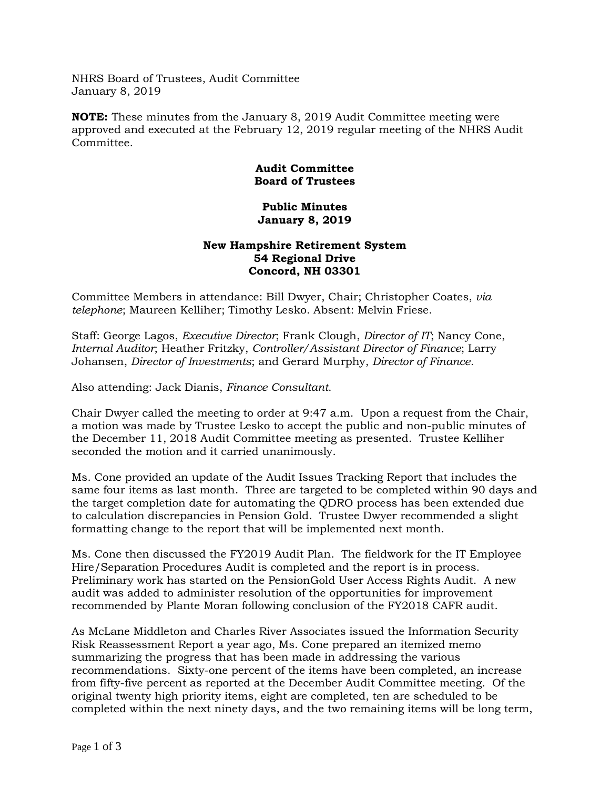NHRS Board of Trustees, Audit Committee January 8, 2019

**NOTE:** These minutes from the January 8, 2019 Audit Committee meeting were approved and executed at the February 12, 2019 regular meeting of the NHRS Audit Committee.

## **Audit Committee Board of Trustees**

## **Public Minutes January 8, 2019**

## **New Hampshire Retirement System 54 Regional Drive Concord, NH 03301**

Committee Members in attendance: Bill Dwyer, Chair; Christopher Coates, *via telephone*; Maureen Kelliher; Timothy Lesko. Absent: Melvin Friese.

Staff: George Lagos, *Executive Director*; Frank Clough, *Director of IT*; Nancy Cone, *Internal Auditor*; Heather Fritzky, *Controller/Assistant Director of Finance*; Larry Johansen, *Director of Investments*; and Gerard Murphy, *Director of Finance.*

Also attending: Jack Dianis, *Finance Consultant*.

Chair Dwyer called the meeting to order at 9:47 a.m. Upon a request from the Chair, a motion was made by Trustee Lesko to accept the public and non-public minutes of the December 11, 2018 Audit Committee meeting as presented. Trustee Kelliher seconded the motion and it carried unanimously.

Ms. Cone provided an update of the Audit Issues Tracking Report that includes the same four items as last month. Three are targeted to be completed within 90 days and the target completion date for automating the QDRO process has been extended due to calculation discrepancies in Pension Gold. Trustee Dwyer recommended a slight formatting change to the report that will be implemented next month.

Ms. Cone then discussed the FY2019 Audit Plan. The fieldwork for the IT Employee Hire/Separation Procedures Audit is completed and the report is in process. Preliminary work has started on the PensionGold User Access Rights Audit. A new audit was added to administer resolution of the opportunities for improvement recommended by Plante Moran following conclusion of the FY2018 CAFR audit.

As McLane Middleton and Charles River Associates issued the Information Security Risk Reassessment Report a year ago, Ms. Cone prepared an itemized memo summarizing the progress that has been made in addressing the various recommendations. Sixty-one percent of the items have been completed, an increase from fifty-five percent as reported at the December Audit Committee meeting. Of the original twenty high priority items, eight are completed, ten are scheduled to be completed within the next ninety days, and the two remaining items will be long term,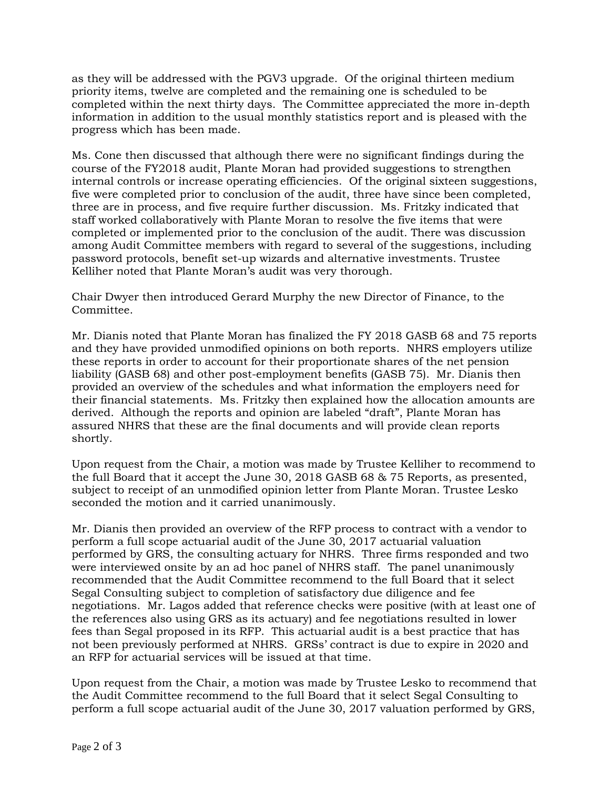as they will be addressed with the PGV3 upgrade. Of the original thirteen medium priority items, twelve are completed and the remaining one is scheduled to be completed within the next thirty days. The Committee appreciated the more in-depth information in addition to the usual monthly statistics report and is pleased with the progress which has been made.

Ms. Cone then discussed that although there were no significant findings during the course of the FY2018 audit, Plante Moran had provided suggestions to strengthen internal controls or increase operating efficiencies. Of the original sixteen suggestions, five were completed prior to conclusion of the audit, three have since been completed, three are in process, and five require further discussion. Ms. Fritzky indicated that staff worked collaboratively with Plante Moran to resolve the five items that were completed or implemented prior to the conclusion of the audit. There was discussion among Audit Committee members with regard to several of the suggestions, including password protocols, benefit set-up wizards and alternative investments. Trustee Kelliher noted that Plante Moran's audit was very thorough.

Chair Dwyer then introduced Gerard Murphy the new Director of Finance, to the Committee.

Mr. Dianis noted that Plante Moran has finalized the FY 2018 GASB 68 and 75 reports and they have provided unmodified opinions on both reports. NHRS employers utilize these reports in order to account for their proportionate shares of the net pension liability (GASB 68) and other post-employment benefits (GASB 75). Mr. Dianis then provided an overview of the schedules and what information the employers need for their financial statements. Ms. Fritzky then explained how the allocation amounts are derived. Although the reports and opinion are labeled "draft", Plante Moran has assured NHRS that these are the final documents and will provide clean reports shortly.

Upon request from the Chair, a motion was made by Trustee Kelliher to recommend to the full Board that it accept the June 30, 2018 GASB 68 & 75 Reports, as presented, subject to receipt of an unmodified opinion letter from Plante Moran. Trustee Lesko seconded the motion and it carried unanimously.

Mr. Dianis then provided an overview of the RFP process to contract with a vendor to perform a full scope actuarial audit of the June 30, 2017 actuarial valuation performed by GRS, the consulting actuary for NHRS. Three firms responded and two were interviewed onsite by an ad hoc panel of NHRS staff. The panel unanimously recommended that the Audit Committee recommend to the full Board that it select Segal Consulting subject to completion of satisfactory due diligence and fee negotiations. Mr. Lagos added that reference checks were positive (with at least one of the references also using GRS as its actuary) and fee negotiations resulted in lower fees than Segal proposed in its RFP. This actuarial audit is a best practice that has not been previously performed at NHRS. GRSs' contract is due to expire in 2020 and an RFP for actuarial services will be issued at that time.

Upon request from the Chair, a motion was made by Trustee Lesko to recommend that the Audit Committee recommend to the full Board that it select Segal Consulting to perform a full scope actuarial audit of the June 30, 2017 valuation performed by GRS,